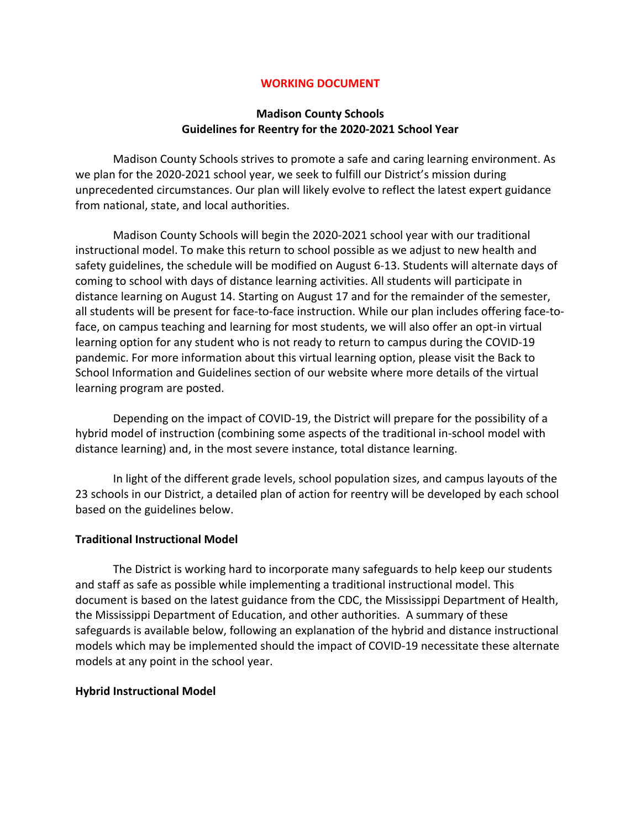#### **WORKING DOCUMENT**

#### **Madison County Schools Guidelines for Reentry for the 2020-2021 School Year**

Madison County Schools strives to promote a safe and caring learning environment. As we plan for the 2020-2021 school year, we seek to fulfill our District's mission during unprecedented circumstances. Our plan will likely evolve to reflect the latest expert guidance from national, state, and local authorities.

Madison County Schools will begin the 2020-2021 school year with our traditional instructional model. To make this return to school possible as we adjust to new health and safety guidelines, the schedule will be modified on August 6-13. Students will alternate days of coming to school with days of distance learning activities. All students will participate in distance learning on August 14. Starting on August 17 and for the remainder of the semester, all students will be present for face-to-face instruction. While our plan includes offering face-toface, on campus teaching and learning for most students, we will also offer an opt-in virtual learning option for any student who is not ready to return to campus during the COVID-19 pandemic. For more information about this virtual learning option, please visit the Back to School Information and Guidelines section of our website where more details of the virtual learning program are posted.

Depending on the impact of COVID-19, the District will prepare for the possibility of a hybrid model of instruction (combining some aspects of the traditional in-school model with distance learning) and, in the most severe instance, total distance learning.

In light of the different grade levels, school population sizes, and campus layouts of the 23 schools in our District, a detailed plan of action for reentry will be developed by each school based on the guidelines below.

#### **Traditional Instructional Model**

The District is working hard to incorporate many safeguards to help keep our students and staff as safe as possible while implementing a traditional instructional model. This document is based on the latest guidance from the CDC, the Mississippi Department of Health, the Mississippi Department of Education, and other authorities. A summary of these safeguards is available below, following an explanation of the hybrid and distance instructional models which may be implemented should the impact of COVID-19 necessitate these alternate models at any point in the school year.

#### **Hybrid Instructional Model**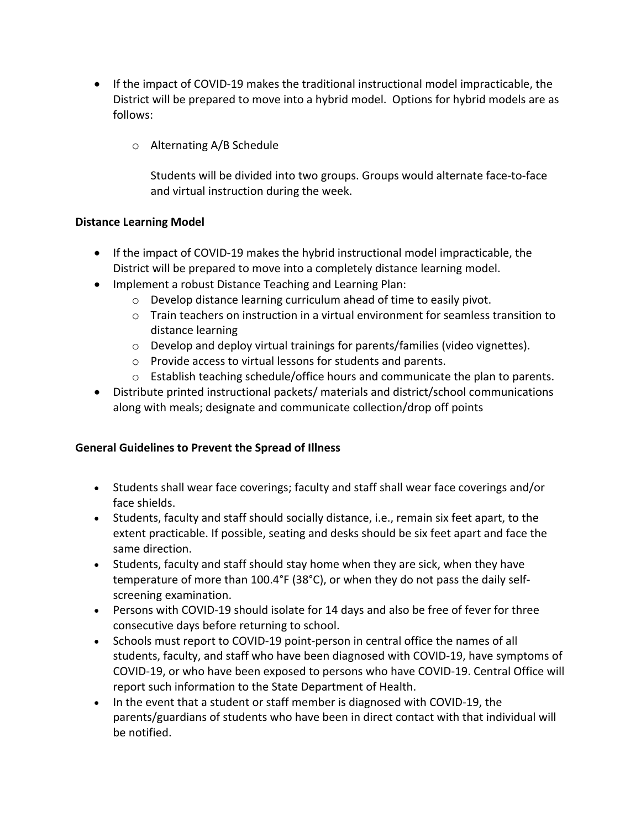- If the impact of COVID-19 makes the traditional instructional model impracticable, the District will be prepared to move into a hybrid model. Options for hybrid models are as follows:
	- o Alternating A/B Schedule

Students will be divided into two groups. Groups would alternate face-to-face and virtual instruction during the week.

## **Distance Learning Model**

- If the impact of COVID-19 makes the hybrid instructional model impracticable, the District will be prepared to move into a completely distance learning model.
- Implement a robust Distance Teaching and Learning Plan:
	- o Develop distance learning curriculum ahead of time to easily pivot.
	- $\circ$  Train teachers on instruction in a virtual environment for seamless transition to distance learning
	- $\circ$  Develop and deploy virtual trainings for parents/families (video vignettes).
	- o Provide access to virtual lessons for students and parents.
	- $\circ$  Establish teaching schedule/office hours and communicate the plan to parents.
- Distribute printed instructional packets/ materials and district/school communications along with meals; designate and communicate collection/drop off points

## **General Guidelines to Prevent the Spread of Illness**

- Students shall wear face coverings; faculty and staff shall wear face coverings and/or face shields.
- Students, faculty and staff should socially distance, i.e., remain six feet apart, to the extent practicable. If possible, seating and desks should be six feet apart and face the same direction.
- Students, faculty and staff should stay home when they are sick, when they have temperature of more than 100.4°F (38°C), or when they do not pass the daily selfscreening examination.
- Persons with COVID-19 should isolate for 14 days and also be free of fever for three consecutive days before returning to school.
- Schools must report to COVID-19 point-person in central office the names of all students, faculty, and staff who have been diagnosed with COVID-19, have symptoms of COVID-19, or who have been exposed to persons who have COVID-19. Central Office will report such information to the State Department of Health.
- In the event that a student or staff member is diagnosed with COVID-19, the parents/guardians of students who have been in direct contact with that individual will be notified.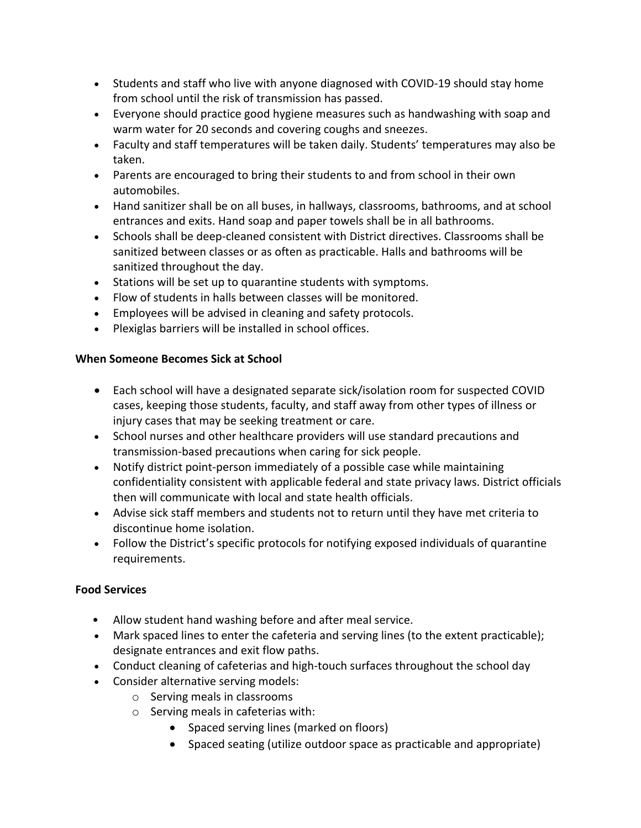- Students and staff who live with anyone diagnosed with COVID-19 should stay home from school until the risk of transmission has passed.
- Everyone should practice good hygiene measures such as handwashing with soap and warm water for 20 seconds and covering coughs and sneezes.
- Faculty and staff temperatures will be taken daily. Students' temperatures may also be taken.
- Parents are encouraged to bring their students to and from school in their own automobiles.
- Hand sanitizer shall be on all buses, in hallways, classrooms, bathrooms, and at school entrances and exits. Hand soap and paper towels shall be in all bathrooms.
- Schools shall be deep-cleaned consistent with District directives. Classrooms shall be sanitized between classes or as often as practicable. Halls and bathrooms will be sanitized throughout the day.
- Stations will be set up to quarantine students with symptoms.
- Flow of students in halls between classes will be monitored.
- Employees will be advised in cleaning and safety protocols.
- Plexiglas barriers will be installed in school offices.

## **When Someone Becomes Sick at School**

- Each school will have a designated separate sick/isolation room for suspected COVID cases, keeping those students, faculty, and staff away from other types of illness or injury cases that may be seeking treatment or care.
- School nurses and other healthcare providers will use standard precautions and transmission-based precautions when caring for sick people.
- Notify district point-person immediately of a possible case while maintaining confidentiality consistent with applicable federal and state privacy laws. District officials then will communicate with local and state health officials.
- Advise sick staff members and students not to return until they have met criteria to discontinue home isolation.
- Follow the District's specific protocols for notifying exposed individuals of quarantine requirements.

## **Food Services**

- Allow student hand washing before and after meal service.
- Mark spaced lines to enter the cafeteria and serving lines (to the extent practicable); designate entrances and exit flow paths.
- Conduct cleaning of cafeterias and high-touch surfaces throughout the school day
- Consider alternative serving models:
	- o Serving meals in classrooms
	- o Serving meals in cafeterias with:
		- Spaced serving lines (marked on floors)
		- Spaced seating (utilize outdoor space as practicable and appropriate)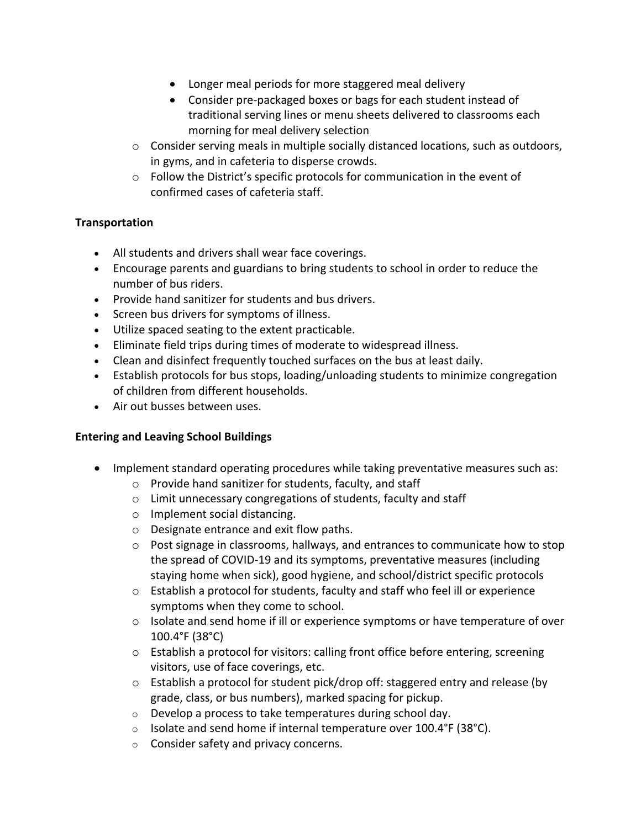- Longer meal periods for more staggered meal delivery
- Consider pre-packaged boxes or bags for each student instead of traditional serving lines or menu sheets delivered to classrooms each morning for meal delivery selection
- $\circ$  Consider serving meals in multiple socially distanced locations, such as outdoors, in gyms, and in cafeteria to disperse crowds.
- o Follow the District's specific protocols for communication in the event of confirmed cases of cafeteria staff.

## **Transportation**

- All students and drivers shall wear face coverings.
- Encourage parents and guardians to bring students to school in order to reduce the number of bus riders.
- Provide hand sanitizer for students and bus drivers.
- Screen bus drivers for symptoms of illness.
- Utilize spaced seating to the extent practicable.
- Eliminate field trips during times of moderate to widespread illness.
- Clean and disinfect frequently touched surfaces on the bus at least daily.
- Establish protocols for bus stops, loading/unloading students to minimize congregation of children from different households.
- Air out busses between uses.

## **Entering and Leaving School Buildings**

- Implement standard operating procedures while taking preventative measures such as:
	- o Provide hand sanitizer for students, faculty, and staff
	- o Limit unnecessary congregations of students, faculty and staff
	- o Implement social distancing.
	- o Designate entrance and exit flow paths.
	- $\circ$  Post signage in classrooms, hallways, and entrances to communicate how to stop the spread of COVID-19 and its symptoms, preventative measures (including staying home when sick), good hygiene, and school/district specific protocols
	- $\circ$  Establish a protocol for students, faculty and staff who feel ill or experience symptoms when they come to school.
	- o Isolate and send home if ill or experience symptoms or have temperature of over 100.4°F (38°C)
	- o Establish a protocol for visitors: calling front office before entering, screening visitors, use of face coverings, etc.
	- o Establish a protocol for student pick/drop off: staggered entry and release (by grade, class, or bus numbers), marked spacing for pickup.
	- o Develop a process to take temperatures during school day.
	- $\circ$  Isolate and send home if internal temperature over 100.4°F (38°C).
	- o Consider safety and privacy concerns.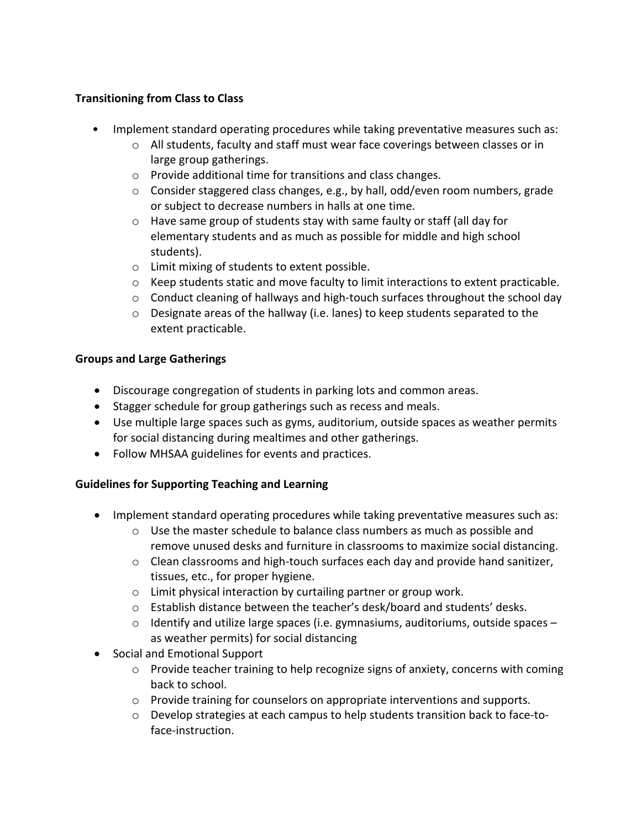## **Transitioning from Class to Class**

- Implement standard operating procedures while taking preventative measures such as:
	- $\circ$  All students, faculty and staff must wear face coverings between classes or in large group gatherings.
	- o Provide additional time for transitions and class changes.
	- o Consider staggered class changes, e.g., by hall, odd/even room numbers, grade or subject to decrease numbers in halls at one time.
	- o Have same group of students stay with same faulty or staff (all day for elementary students and as much as possible for middle and high school students).
	- o Limit mixing of students to extent possible.
	- $\circ$  Keep students static and move faculty to limit interactions to extent practicable.
	- $\circ$  Conduct cleaning of hallways and high-touch surfaces throughout the school day
	- $\circ$  Designate areas of the hallway (i.e. lanes) to keep students separated to the extent practicable.

# **Groups and Large Gatherings**

- Discourage congregation of students in parking lots and common areas.
- Stagger schedule for group gatherings such as recess and meals.
- Use multiple large spaces such as gyms, auditorium, outside spaces as weather permits for social distancing during mealtimes and other gatherings.
- Follow MHSAA guidelines for events and practices.

## **Guidelines for Supporting Teaching and Learning**

- Implement standard operating procedures while taking preventative measures such as:
	- $\circ$  Use the master schedule to balance class numbers as much as possible and remove unused desks and furniture in classrooms to maximize social distancing.
	- $\circ$  Clean classrooms and high-touch surfaces each day and provide hand sanitizer, tissues, etc., for proper hygiene.
	- o Limit physical interaction by curtailing partner or group work.
	- o Establish distance between the teacher's desk/board and students' desks.
	- $\circ$  Identify and utilize large spaces (i.e. gymnasiums, auditoriums, outside spaces as weather permits) for social distancing
- Social and Emotional Support
	- o Provide teacher training to help recognize signs of anxiety, concerns with coming back to school.
	- $\circ$  Provide training for counselors on appropriate interventions and supports.
	- o Develop strategies at each campus to help students transition back to face-toface-instruction.